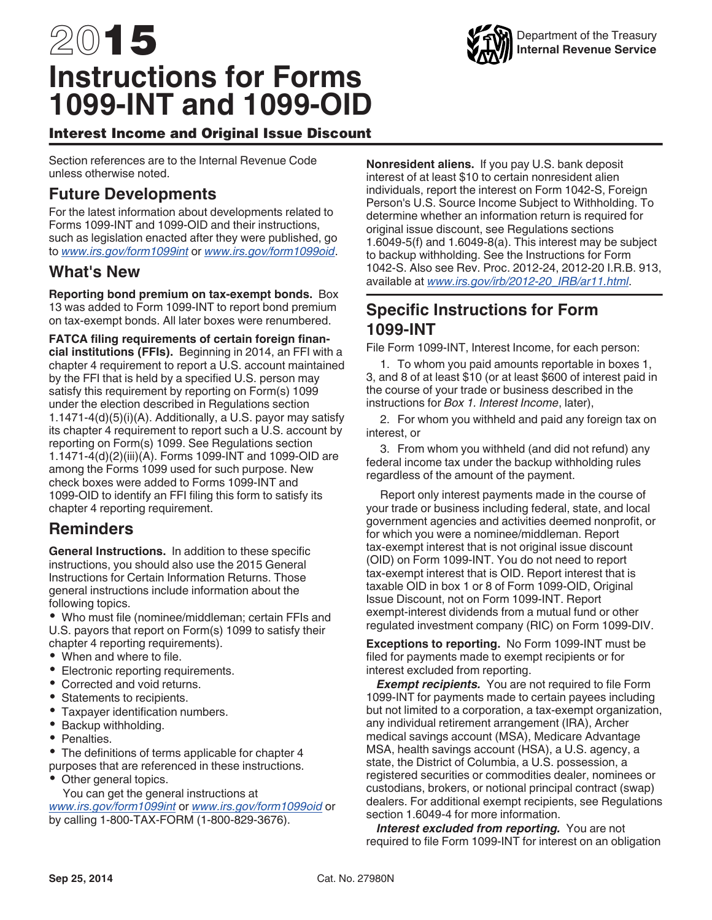# 2015 **Instructions for Forms 1099-INT and 1099-OID**

Interest Income and Original Issue Discount

Section references are to the Internal Revenue Code unless otherwise noted.

# **Future Developments**

For the latest information about developments related to Forms 1099-INT and 1099-OID and their instructions, such as legislation enacted after they were published, go to *[www.irs.gov/form1099int](http://www.irs.gov/form1099int)* or *[www.irs.gov/form1099oid](http://www.irs.gov/form1099oid)*.

## **What's New**

**Reporting bond premium on tax-exempt bonds.** Box 13 was added to Form 1099-INT to report bond premium on tax-exempt bonds. All later boxes were renumbered.

**FATCA filing requirements of certain foreign financial institutions (FFIs).** Beginning in 2014, an FFI with a chapter 4 requirement to report a U.S. account maintained by the FFI that is held by a specified U.S. person may satisfy this requirement by reporting on Form(s) 1099 under the election described in Regulations section 1.1471-4(d)(5)(i)(A). Additionally, a U.S. payor may satisfy its chapter 4 requirement to report such a U.S. account by reporting on Form(s) 1099. See Regulations section 1.1471-4(d)(2)(iii)(A). Forms 1099-INT and 1099-OID are among the Forms 1099 used for such purpose. New check boxes were added to Forms 1099-INT and 1099-OID to identify an FFI filing this form to satisfy its chapter 4 reporting requirement.

# **Reminders**

**General Instructions.** In addition to these specific instructions, you should also use the 2015 General Instructions for Certain Information Returns. Those general instructions include information about the following topics.

Who must file (nominee/middleman; certain FFIs and U.S. payors that report on Form(s) 1099 to satisfy their chapter 4 reporting requirements).

- When and where to file.
- Electronic reporting requirements.
- Corrected and void returns.
- Statements to recipients.
- Taxpayer identification numbers.
- $\bullet$ Backup withholding.
- Penalties.

The definitions of terms applicable for chapter 4 purposes that are referenced in these instructions.

Other general topics.

You can get the general instructions at *[www.irs.gov/form1099int](http://www.irs.gov/form1099int)* or *[www.irs.gov/form1099oid](http://www.irs.gov/form1099oid)* or by calling 1-800-TAX-FORM (1-800-829-3676).

**Nonresident aliens.** If you pay U.S. bank deposit interest of at least \$10 to certain nonresident alien individuals, report the interest on Form 1042-S, Foreign Person's U.S. Source Income Subject to Withholding. To determine whether an information return is required for original issue discount, see Regulations sections 1.6049-5(f) and 1.6049-8(a). This interest may be subject to backup withholding. See the Instructions for Form 1042-S. Also see Rev. Proc. 2012-24, 2012-20 I.R.B. 913, available at *[www.irs.gov/irb/2012-20\\_IRB/ar11.html](http://www.irs.gov/irb/2012-20_IRB/ar11.html)*.

# **Specific Instructions for Form 1099-INT**

File Form 1099-INT, Interest Income, for each person:

1. To whom you paid amounts reportable in boxes 1, 3, and 8 of at least \$10 (or at least \$600 of interest paid in the course of your trade or business described in the instructions for *Box 1. Interest Income*, later),

2. For whom you withheld and paid any foreign tax on interest, or

3. From whom you withheld (and did not refund) any federal income tax under the backup withholding rules regardless of the amount of the payment.

Report only interest payments made in the course of your trade or business including federal, state, and local government agencies and activities deemed nonprofit, or for which you were a nominee/middleman. Report tax-exempt interest that is not original issue discount (OID) on Form 1099-INT. You do not need to report tax-exempt interest that is OID. Report interest that is taxable OID in box 1 or 8 of Form 1099-OID, Original Issue Discount, not on Form 1099-INT. Report exempt-interest dividends from a mutual fund or other regulated investment company (RIC) on Form 1099-DIV.

**Exceptions to reporting.** No Form 1099-INT must be filed for payments made to exempt recipients or for interest excluded from reporting.

**Exempt recipients.** You are not required to file Form 1099-INT for payments made to certain payees including but not limited to a corporation, a tax-exempt organization, any individual retirement arrangement (IRA), Archer medical savings account (MSA), Medicare Advantage MSA, health savings account (HSA), a U.S. agency, a state, the District of Columbia, a U.S. possession, a registered securities or commodities dealer, nominees or custodians, brokers, or notional principal contract (swap) dealers. For additional exempt recipients, see Regulations section 1.6049-4 for more information.

*Interest excluded from reporting.* You are not required to file Form 1099-INT for interest on an obligation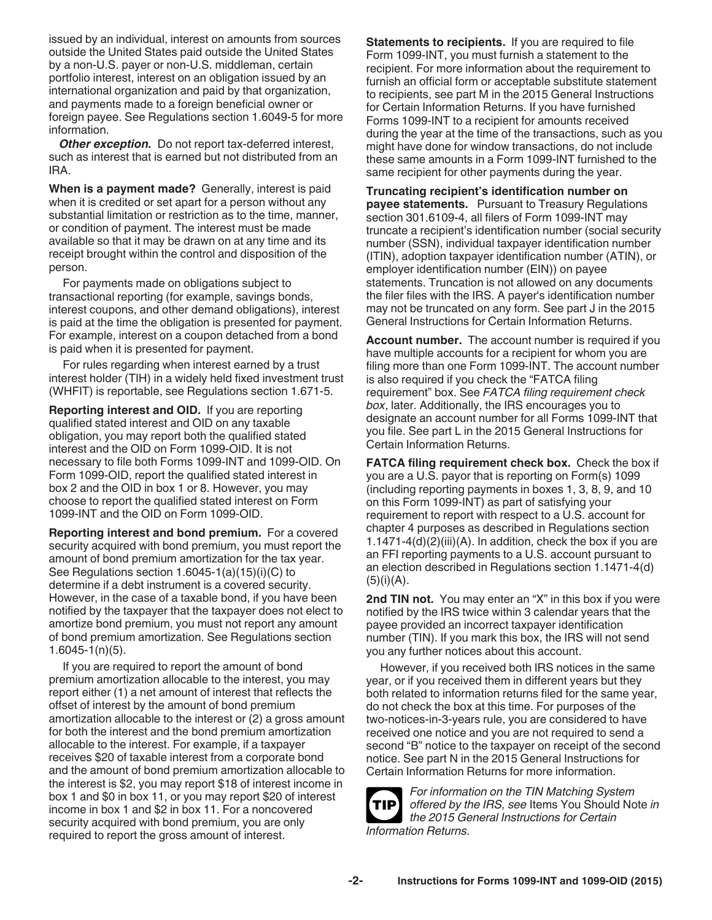issued by an individual, interest on amounts from sources outside the United States paid outside the United States by a non-U.S. payer or non-U.S. middleman, certain portfolio interest, interest on an obligation issued by an international organization and paid by that organization, and payments made to a foreign beneficial owner or foreign payee. See Regulations section 1.6049-5 for more information.

**Other exception.** Do not report tax-deferred interest, such as interest that is earned but not distributed from an IRA.

**When is a payment made?** Generally, interest is paid when it is credited or set apart for a person without any substantial limitation or restriction as to the time, manner, or condition of payment. The interest must be made available so that it may be drawn on at any time and its receipt brought within the control and disposition of the person.

For payments made on obligations subject to transactional reporting (for example, savings bonds, interest coupons, and other demand obligations), interest is paid at the time the obligation is presented for payment. For example, interest on a coupon detached from a bond is paid when it is presented for payment.

For rules regarding when interest earned by a trust interest holder (TIH) in a widely held fixed investment trust (WHFIT) is reportable, see Regulations section 1.671-5.

**Reporting interest and OID.** If you are reporting qualified stated interest and OID on any taxable obligation, you may report both the qualified stated interest and the OID on Form 1099-OID. It is not necessary to file both Forms 1099-INT and 1099-OID. On Form 1099-OID, report the qualified stated interest in box 2 and the OID in box 1 or 8. However, you may choose to report the qualified stated interest on Form 1099-INT and the OID on Form 1099-OID.

**Reporting interest and bond premium.** For a covered security acquired with bond premium, you must report the amount of bond premium amortization for the tax year. See Regulations section 1.6045-1(a)(15)(i)(C) to determine if a debt instrument is a covered security. However, in the case of a taxable bond, if you have been notified by the taxpayer that the taxpayer does not elect to amortize bond premium, you must not report any amount of bond premium amortization. See Regulations section 1.6045-1(n)(5).

If you are required to report the amount of bond premium amortization allocable to the interest, you may report either (1) a net amount of interest that reflects the offset of interest by the amount of bond premium amortization allocable to the interest or (2) a gross amount for both the interest and the bond premium amortization allocable to the interest. For example, if a taxpayer receives \$20 of taxable interest from a corporate bond and the amount of bond premium amortization allocable to the interest is \$2, you may report \$18 of interest income in box 1 and \$0 in box 11, or you may report \$20 of interest income in box 1 and \$2 in box 11. For a noncovered security acquired with bond premium, you are only required to report the gross amount of interest.

**Statements to recipients.** If you are required to file Form 1099-INT, you must furnish a statement to the recipient. For more information about the requirement to furnish an official form or acceptable substitute statement to recipients, see part M in the 2015 General Instructions for Certain Information Returns. If you have furnished Forms 1099-INT to a recipient for amounts received during the year at the time of the transactions, such as you might have done for window transactions, do not include these same amounts in a Form 1099-INT furnished to the same recipient for other payments during the year.

**Truncating recipient's identification number on payee statements.** Pursuant to Treasury Regulations section 301.6109-4, all filers of Form 1099-INT may truncate a recipient's identification number (social security number (SSN), individual taxpayer identification number (ITIN), adoption taxpayer identification number (ATIN), or employer identification number (EIN)) on payee statements. Truncation is not allowed on any documents the filer files with the IRS. A payer's identification number may not be truncated on any form. See part J in the 2015 General Instructions for Certain Information Returns.

**Account number.** The account number is required if you have multiple accounts for a recipient for whom you are filing more than one Form 1099-INT. The account number is also required if you check the "FATCA filing requirement" box. See *FATCA filing requirement check box*, later. Additionally, the IRS encourages you to designate an account number for all Forms 1099-INT that you file. See part L in the 2015 General Instructions for Certain Information Returns.

**FATCA filing requirement check box.** Check the box if you are a U.S. payor that is reporting on Form(s) 1099 (including reporting payments in boxes 1, 3, 8, 9, and 10 on this Form 1099-INT) as part of satisfying your requirement to report with respect to a U.S. account for chapter 4 purposes as described in Regulations section 1.1471-4(d)(2)(iii)(A). In addition, check the box if you are an FFI reporting payments to a U.S. account pursuant to an election described in Regulations section 1.1471-4(d)  $(5)(i)(A)$ .

**2nd TIN not.** You may enter an "X" in this box if you were notified by the IRS twice within 3 calendar years that the payee provided an incorrect taxpayer identification number (TIN). If you mark this box, the IRS will not send you any further notices about this account.

However, if you received both IRS notices in the same year, or if you received them in different years but they both related to information returns filed for the same year, do not check the box at this time. For purposes of the two-notices-in-3-years rule, you are considered to have received one notice and you are not required to send a second "B" notice to the taxpayer on receipt of the second notice. See part N in the 2015 General Instructions for Certain Information Returns for more information.



*For information on the TIN Matching System offered by the IRS, see* Items You Should Note *in the 2015 General Instructions for Certain Information Returns.*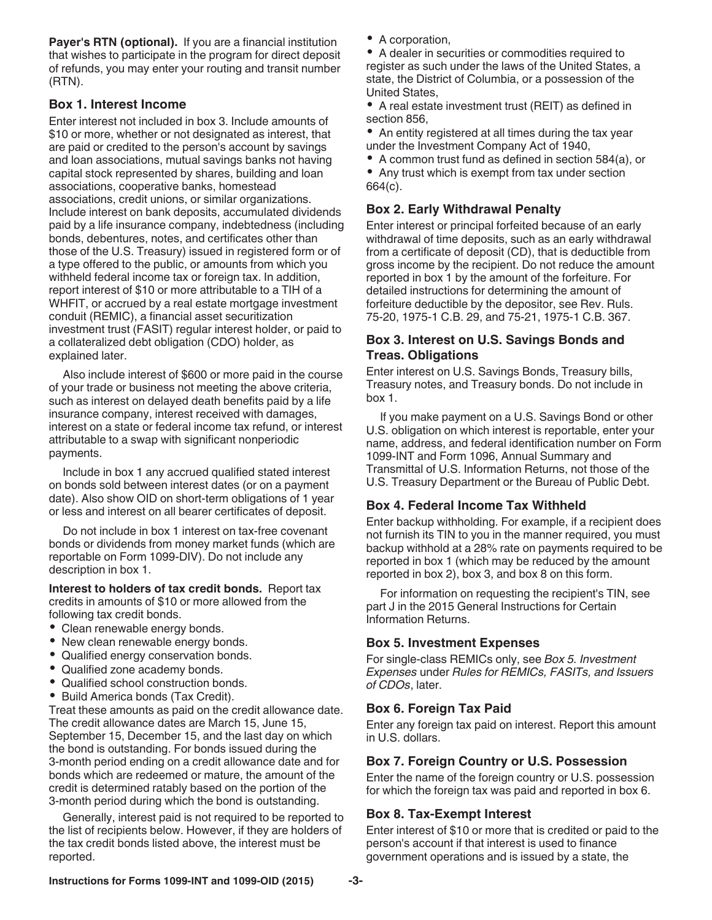**Payer's RTN (optional).** If you are a financial institution that wishes to participate in the program for direct deposit of refunds, you may enter your routing and transit number (RTN).

#### **Box 1. Interest Income**

Enter interest not included in box 3. Include amounts of \$10 or more, whether or not designated as interest, that are paid or credited to the person's account by savings and loan associations, mutual savings banks not having capital stock represented by shares, building and loan associations, cooperative banks, homestead associations, credit unions, or similar organizations. Include interest on bank deposits, accumulated dividends paid by a life insurance company, indebtedness (including bonds, debentures, notes, and certificates other than those of the U.S. Treasury) issued in registered form or of a type offered to the public, or amounts from which you withheld federal income tax or foreign tax. In addition, report interest of \$10 or more attributable to a TIH of a WHFIT, or accrued by a real estate mortgage investment conduit (REMIC), a financial asset securitization investment trust (FASIT) regular interest holder, or paid to a collateralized debt obligation (CDO) holder, as explained later.

Also include interest of \$600 or more paid in the course of your trade or business not meeting the above criteria, such as interest on delayed death benefits paid by a life insurance company, interest received with damages, interest on a state or federal income tax refund, or interest attributable to a swap with significant nonperiodic payments.

Include in box 1 any accrued qualified stated interest on bonds sold between interest dates (or on a payment date). Also show OID on short-term obligations of 1 year or less and interest on all bearer certificates of deposit.

Do not include in box 1 interest on tax-free covenant bonds or dividends from money market funds (which are reportable on Form 1099-DIV). Do not include any description in box 1.

**Interest to holders of tax credit bonds.** Report tax credits in amounts of \$10 or more allowed from the following tax credit bonds.

- Clean renewable energy bonds.
- New clean renewable energy bonds.
- Qualified energy conservation bonds.
- $\bullet$ Qualified zone academy bonds.
- $\bullet$ Qualified school construction bonds.
- Build America bonds (Tax Credit).

Treat these amounts as paid on the credit allowance date. The credit allowance dates are March 15, June 15, September 15, December 15, and the last day on which the bond is outstanding. For bonds issued during the 3-month period ending on a credit allowance date and for bonds which are redeemed or mature, the amount of the credit is determined ratably based on the portion of the 3-month period during which the bond is outstanding.

Generally, interest paid is not required to be reported to the list of recipients below. However, if they are holders of the tax credit bonds listed above, the interest must be reported.

A corporation,

A dealer in securities or commodities required to register as such under the laws of the United States, a state, the District of Columbia, or a possession of the United States,

A real estate investment trust (REIT) as defined in section 856,

An entity registered at all times during the tax year under the Investment Company Act of 1940,

A common trust fund as defined in section 584(a), or Any trust which is exempt from tax under section 664(c).

#### **Box 2. Early Withdrawal Penalty**

Enter interest or principal forfeited because of an early withdrawal of time deposits, such as an early withdrawal from a certificate of deposit (CD), that is deductible from gross income by the recipient. Do not reduce the amount reported in box 1 by the amount of the forfeiture. For detailed instructions for determining the amount of forfeiture deductible by the depositor, see Rev. Ruls. 75-20, 1975-1 C.B. 29, and 75-21, 1975-1 C.B. 367.

#### **Box 3. Interest on U.S. Savings Bonds and Treas. Obligations**

Enter interest on U.S. Savings Bonds, Treasury bills, Treasury notes, and Treasury bonds. Do not include in box 1.

If you make payment on a U.S. Savings Bond or other U.S. obligation on which interest is reportable, enter your name, address, and federal identification number on Form 1099-INT and Form 1096, Annual Summary and Transmittal of U.S. Information Returns, not those of the U.S. Treasury Department or the Bureau of Public Debt.

#### **Box 4. Federal Income Tax Withheld**

Enter backup withholding. For example, if a recipient does not furnish its TIN to you in the manner required, you must backup withhold at a 28% rate on payments required to be reported in box 1 (which may be reduced by the amount reported in box 2), box 3, and box 8 on this form.

For information on requesting the recipient's TIN, see part J in the 2015 General Instructions for Certain Information Returns.

#### **Box 5. Investment Expenses**

For single-class REMICs only, see *Box 5. Investment Expenses* under *Rules for REMICs, FASITs, and Issuers of CDOs*, later.

### **Box 6. Foreign Tax Paid**

Enter any foreign tax paid on interest. Report this amount in U.S. dollars.

#### **Box 7. Foreign Country or U.S. Possession**

Enter the name of the foreign country or U.S. possession for which the foreign tax was paid and reported in box 6.

### **Box 8. Tax-Exempt Interest**

Enter interest of \$10 or more that is credited or paid to the person's account if that interest is used to finance government operations and is issued by a state, the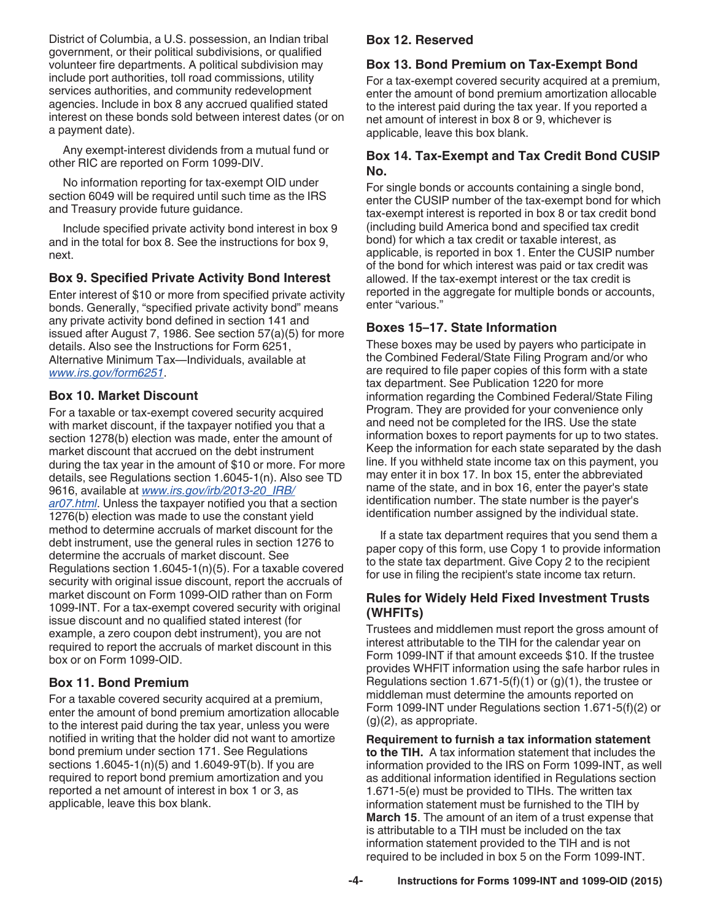District of Columbia, a U.S. possession, an Indian tribal government, or their political subdivisions, or qualified volunteer fire departments. A political subdivision may include port authorities, toll road commissions, utility services authorities, and community redevelopment agencies. Include in box 8 any accrued qualified stated interest on these bonds sold between interest dates (or on a payment date).

Any exempt-interest dividends from a mutual fund or other RIC are reported on Form 1099-DIV.

No information reporting for tax-exempt OID under section 6049 will be required until such time as the IRS and Treasury provide future guidance.

Include specified private activity bond interest in box 9 and in the total for box 8. See the instructions for box 9, next.

#### **Box 9. Specified Private Activity Bond Interest**

Enter interest of \$10 or more from specified private activity bonds. Generally, "specified private activity bond" means any private activity bond defined in section 141 and issued after August 7, 1986. See section 57(a)(5) for more details. Also see the Instructions for Form 6251, Alternative Minimum Tax—Individuals, available at *[www.irs.gov/form6251](http://www.irs.gov/form6251)*.

#### **Box 10. Market Discount**

For a taxable or tax-exempt covered security acquired with market discount, if the taxpayer notified you that a section 1278(b) election was made, enter the amount of market discount that accrued on the debt instrument during the tax year in the amount of \$10 or more. For more details, see Regulations section 1.6045-1(n). Also see TD 9616, available at *[www.irs.gov/irb/2013-20\\_IRB/](http://www.irs.gov/irb/2013-20_IRB/ar07.html) [ar07.html](http://www.irs.gov/irb/2013-20_IRB/ar07.html)*. Unless the taxpayer notified you that a section 1276(b) election was made to use the constant yield method to determine accruals of market discount for the debt instrument, use the general rules in section 1276 to determine the accruals of market discount. See Regulations section 1.6045-1(n)(5). For a taxable covered security with original issue discount, report the accruals of market discount on Form 1099-OID rather than on Form 1099-INT. For a tax-exempt covered security with original issue discount and no qualified stated interest (for example, a zero coupon debt instrument), you are not required to report the accruals of market discount in this box or on Form 1099-OID.

#### **Box 11. Bond Premium**

For a taxable covered security acquired at a premium, enter the amount of bond premium amortization allocable to the interest paid during the tax year, unless you were notified in writing that the holder did not want to amortize bond premium under section 171. See Regulations sections 1.6045-1(n)(5) and 1.6049-9T(b). If you are required to report bond premium amortization and you reported a net amount of interest in box 1 or 3, as applicable, leave this box blank.

#### **Box 12. Reserved**

#### **Box 13. Bond Premium on Tax-Exempt Bond**

For a tax-exempt covered security acquired at a premium, enter the amount of bond premium amortization allocable to the interest paid during the tax year. If you reported a net amount of interest in box 8 or 9, whichever is applicable, leave this box blank.

#### **Box 14. Tax-Exempt and Tax Credit Bond CUSIP No.**

For single bonds or accounts containing a single bond, enter the CUSIP number of the tax-exempt bond for which tax-exempt interest is reported in box 8 or tax credit bond (including build America bond and specified tax credit bond) for which a tax credit or taxable interest, as applicable, is reported in box 1. Enter the CUSIP number of the bond for which interest was paid or tax credit was allowed. If the tax-exempt interest or the tax credit is reported in the aggregate for multiple bonds or accounts, enter "various."

#### **Boxes 15–17. State Information**

These boxes may be used by payers who participate in the Combined Federal/State Filing Program and/or who are required to file paper copies of this form with a state tax department. See Publication 1220 for more information regarding the Combined Federal/State Filing Program. They are provided for your convenience only and need not be completed for the IRS. Use the state information boxes to report payments for up to two states. Keep the information for each state separated by the dash line. If you withheld state income tax on this payment, you may enter it in box 17. In box 15, enter the abbreviated name of the state, and in box 16, enter the payer's state identification number. The state number is the payer's identification number assigned by the individual state.

If a state tax department requires that you send them a paper copy of this form, use Copy 1 to provide information to the state tax department. Give Copy 2 to the recipient for use in filing the recipient's state income tax return.

#### **Rules for Widely Held Fixed Investment Trusts (WHFITs)**

Trustees and middlemen must report the gross amount of interest attributable to the TIH for the calendar year on Form 1099-INT if that amount exceeds \$10. If the trustee provides WHFIT information using the safe harbor rules in Regulations section 1.671-5(f)(1) or  $(g)(1)$ , the trustee or middleman must determine the amounts reported on Form 1099-INT under Regulations section 1.671-5(f)(2) or  $(g)(2)$ , as appropriate.

**Requirement to furnish a tax information statement to the TIH.** A tax information statement that includes the information provided to the IRS on Form 1099-INT, as well as additional information identified in Regulations section 1.671-5(e) must be provided to TIHs. The written tax information statement must be furnished to the TIH by **March 15**. The amount of an item of a trust expense that is attributable to a TIH must be included on the tax information statement provided to the TIH and is not required to be included in box 5 on the Form 1099-INT.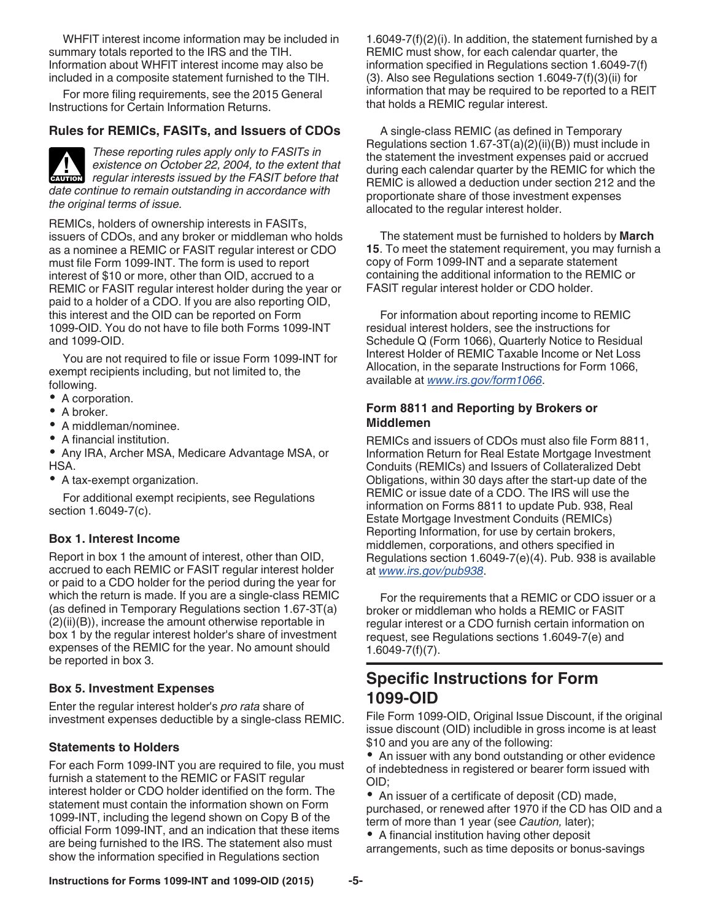WHFIT interest income information may be included in summary totals reported to the IRS and the TIH. Information about WHFIT interest income may also be included in a composite statement furnished to the TIH.

For more filing requirements, see the 2015 General Instructions for Certain Information Returns.

#### **Rules for REMICs, FASITs, and Issuers of CDOs**

*These reporting rules apply only to FASITs in existence on October 22, 2004, to the extent that*  **Properties Assumed By the FASIT before that**  $r$  **regular interests issued by the FASIT before that** *date continue to remain outstanding in accordance with the original terms of issue.*

REMICs, holders of ownership interests in FASITs, issuers of CDOs, and any broker or middleman who holds as a nominee a REMIC or FASIT regular interest or CDO must file Form 1099-INT. The form is used to report interest of \$10 or more, other than OID, accrued to a REMIC or FASIT regular interest holder during the year or paid to a holder of a CDO. If you are also reporting OID, this interest and the OID can be reported on Form 1099-OID. You do not have to file both Forms 1099-INT and 1099-OID.

You are not required to file or issue Form 1099-INT for exempt recipients including, but not limited to, the following.

- A corporation.
- A broker.
- A middleman/nominee.
- A financial institution.
- Any IRA, Archer MSA, Medicare Advantage MSA, or HSA.
- A tax-exempt organization.

For additional exempt recipients, see Regulations section 1.6049-7(c).

#### **Box 1. Interest Income**

Report in box 1 the amount of interest, other than OID, accrued to each REMIC or FASIT regular interest holder or paid to a CDO holder for the period during the year for which the return is made. If you are a single-class REMIC (as defined in Temporary Regulations section 1.67-3T(a) (2)(ii)(B)), increase the amount otherwise reportable in box 1 by the regular interest holder's share of investment expenses of the REMIC for the year. No amount should be reported in box 3.

#### **Box 5. Investment Expenses**

Enter the regular interest holder's *pro rata* share of investment expenses deductible by a single-class REMIC.

#### **Statements to Holders**

For each Form 1099-INT you are required to file, you must furnish a statement to the REMIC or FASIT regular interest holder or CDO holder identified on the form. The statement must contain the information shown on Form 1099-INT, including the legend shown on Copy B of the official Form 1099-INT, and an indication that these items are being furnished to the IRS. The statement also must show the information specified in Regulations section

1.6049-7(f)(2)(i). In addition, the statement furnished by a REMIC must show, for each calendar quarter, the information specified in Regulations section 1.6049-7(f) (3). Also see Regulations section 1.6049-7(f)(3)(ii) for information that may be required to be reported to a REIT that holds a REMIC regular interest.

A single-class REMIC (as defined in Temporary Regulations section 1.67-3T(a)(2)(ii)(B)) must include in the statement the investment expenses paid or accrued during each calendar quarter by the REMIC for which the REMIC is allowed a deduction under section 212 and the proportionate share of those investment expenses allocated to the regular interest holder.

The statement must be furnished to holders by **March 15**. To meet the statement requirement, you may furnish a copy of Form 1099-INT and a separate statement containing the additional information to the REMIC or FASIT regular interest holder or CDO holder.

For information about reporting income to REMIC residual interest holders, see the instructions for Schedule Q (Form 1066), Quarterly Notice to Residual Interest Holder of REMIC Taxable Income or Net Loss Allocation, in the separate Instructions for Form 1066, available at *[www.irs.gov/form1066](http://www.irs.gov/form1066)*.

#### **Form 8811 and Reporting by Brokers or Middlemen**

REMICs and issuers of CDOs must also file Form 8811, Information Return for Real Estate Mortgage Investment Conduits (REMICs) and Issuers of Collateralized Debt Obligations, within 30 days after the start-up date of the REMIC or issue date of a CDO. The IRS will use the information on Forms 8811 to update Pub. 938, Real Estate Mortgage Investment Conduits (REMICs) Reporting Information, for use by certain brokers, middlemen, corporations, and others specified in Regulations section 1.6049-7(e)(4). Pub. 938 is available at *[www.irs.gov/pub938](http://www.irs.gov/pub938)*.

For the requirements that a REMIC or CDO issuer or a broker or middleman who holds a REMIC or FASIT regular interest or a CDO furnish certain information on request, see Regulations sections 1.6049-7(e) and 1.6049-7(f)(7).

# **Specific Instructions for Form 1099-OID**

File Form 1099-OID, Original Issue Discount, if the original issue discount (OID) includible in gross income is at least \$10 and you are any of the following:

• An issuer with any bond outstanding or other evidence of indebtedness in registered or bearer form issued with OID;

• An issuer of a certificate of deposit (CD) made, purchased, or renewed after 1970 if the CD has OID and a term of more than 1 year (see *Caution,* later);

A financial institution having other deposit

arrangements, such as time deposits or bonus-savings

#### **Instructions for Forms 1099-INT and 1099-OID (2015) -5-**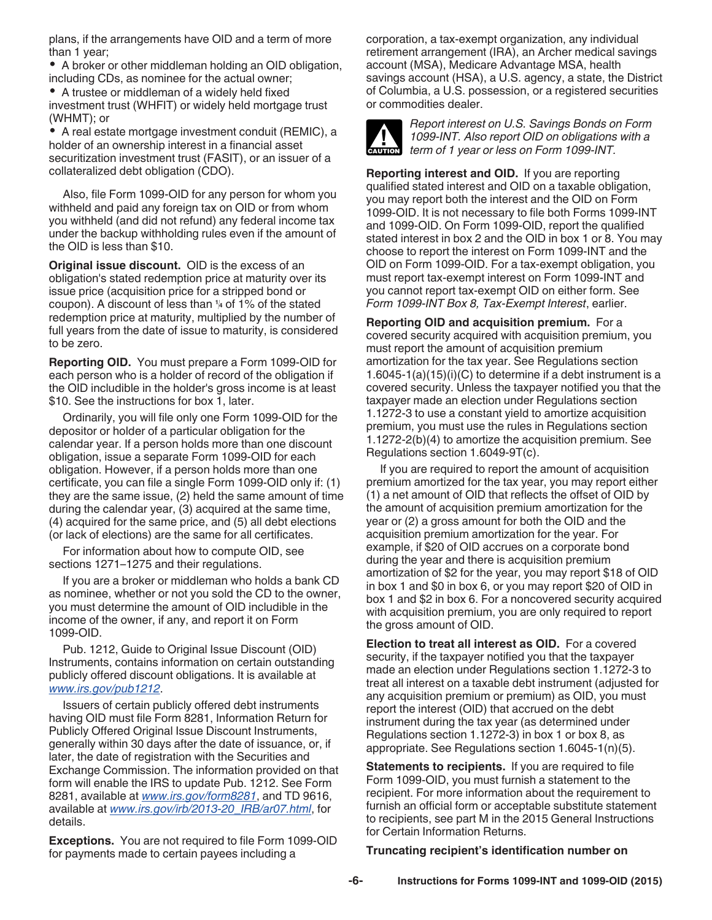plans, if the arrangements have OID and a term of more than 1 year;

A broker or other middleman holding an OID obligation, including CDs, as nominee for the actual owner;

A trustee or middleman of a widely held fixed investment trust (WHFIT) or widely held mortgage trust (WHMT); or

A real estate mortgage investment conduit (REMIC), a holder of an ownership interest in a financial asset securitization investment trust (FASIT), or an issuer of a collateralized debt obligation (CDO).

Also, file Form 1099-OID for any person for whom you withheld and paid any foreign tax on OID or from whom you withheld (and did not refund) any federal income tax under the backup withholding rules even if the amount of the OID is less than \$10.

**Original issue discount.** OID is the excess of an obligation's stated redemption price at maturity over its issue price (acquisition price for a stripped bond or redemption price at maturity, multiplied by the number of full years from the date of issue to maturity, is considered to be zero.

**Reporting OID.** You must prepare a Form 1099-OID for each person who is a holder of record of the obligation if the OID includible in the holder's gross income is at least \$10. See the instructions for box 1, later.

Ordinarily, you will file only one Form 1099-OID for the depositor or holder of a particular obligation for the calendar year. If a person holds more than one discount obligation, issue a separate Form 1099-OID for each obligation. However, if a person holds more than one certificate, you can file a single Form 1099-OID only if: (1) they are the same issue, (2) held the same amount of time during the calendar year, (3) acquired at the same time, (4) acquired for the same price, and (5) all debt elections (or lack of elections) are the same for all certificates.

For information about how to compute OID, see sections 1271–1275 and their regulations.

If you are a broker or middleman who holds a bank CD as nominee, whether or not you sold the CD to the owner, you must determine the amount of OID includible in the income of the owner, if any, and report it on Form 1099-OID.

Pub. 1212, Guide to Original Issue Discount (OID) Instruments, contains information on certain outstanding publicly offered discount obligations. It is available at *[www.irs.gov/pub1212](http://www.irs.gov/pub1212)*.

Issuers of certain publicly offered debt instruments having OID must file Form 8281, Information Return for Publicly Offered Original Issue Discount Instruments, generally within 30 days after the date of issuance, or, if later, the date of registration with the Securities and Exchange Commission. The information provided on that form will enable the IRS to update Pub. 1212. See Form 8281, available at *[www.irs.gov/form8281](http://www.irs.gov/form8281)*, and TD 9616, available at *[www.irs.gov/irb/2013-20\\_IRB/ar07.html](http://www.irs.gov/irb/2013-20_IRB/ar07.html)*, for details.

**Exceptions.** You are not required to file Form 1099-OID for payments made to certain payees including a

corporation, a tax-exempt organization, any individual retirement arrangement (IRA), an Archer medical savings account (MSA), Medicare Advantage MSA, health savings account (HSA), a U.S. agency, a state, the District of Columbia, a U.S. possession, or a registered securities or commodities dealer.



*Report interest on U.S. Savings Bonds on Form 1099-INT. Also report OID on obligations with a*  **term of 1 year or less on Form 1099-INT.**<br> **CAUTION** term of 1 year or less on Form 1099-INT.

coupon). A discount of less than **<sup>1</sup> <sup>4</sup>** of 1% of the stated **Reporting interest and OID.** If you are reporting qualified stated interest and OID on a taxable obligation, you may report both the interest and the OID on Form 1099-OID. It is not necessary to file both Forms 1099-INT and 1099-OID. On Form 1099-OID, report the qualified stated interest in box 2 and the OID in box 1 or 8. You may choose to report the interest on Form 1099-INT and the OID on Form 1099-OID. For a tax-exempt obligation, you must report tax-exempt interest on Form 1099-INT and you cannot report tax-exempt OID on either form. See *Form 1099-INT Box 8, Tax-Exempt Interest*, earlier.

> **Reporting OID and acquisition premium.** For a covered security acquired with acquisition premium, you must report the amount of acquisition premium amortization for the tax year. See Regulations section 1.6045-1(a)(15)(i)(C) to determine if a debt instrument is a covered security. Unless the taxpayer notified you that the taxpayer made an election under Regulations section 1.1272-3 to use a constant yield to amortize acquisition premium, you must use the rules in Regulations section 1.1272-2(b)(4) to amortize the acquisition premium. See Regulations section 1.6049-9T(c).

> If you are required to report the amount of acquisition premium amortized for the tax year, you may report either (1) a net amount of OID that reflects the offset of OID by the amount of acquisition premium amortization for the year or (2) a gross amount for both the OID and the acquisition premium amortization for the year. For example, if \$20 of OID accrues on a corporate bond during the year and there is acquisition premium amortization of \$2 for the year, you may report \$18 of OID in box 1 and \$0 in box 6, or you may report \$20 of OID in box 1 and \$2 in box 6. For a noncovered security acquired with acquisition premium, you are only required to report the gross amount of OID.

> **Election to treat all interest as OID.** For a covered security, if the taxpayer notified you that the taxpayer made an election under Regulations section 1.1272-3 to treat all interest on a taxable debt instrument (adjusted for any acquisition premium or premium) as OID, you must report the interest (OID) that accrued on the debt instrument during the tax year (as determined under Regulations section 1.1272-3) in box 1 or box 8, as appropriate. See Regulations section 1.6045-1(n)(5).

> **Statements to recipients.** If you are required to file Form 1099-OID, you must furnish a statement to the recipient. For more information about the requirement to furnish an official form or acceptable substitute statement to recipients, see part M in the 2015 General Instructions for Certain Information Returns.

#### **Truncating recipient's identification number on**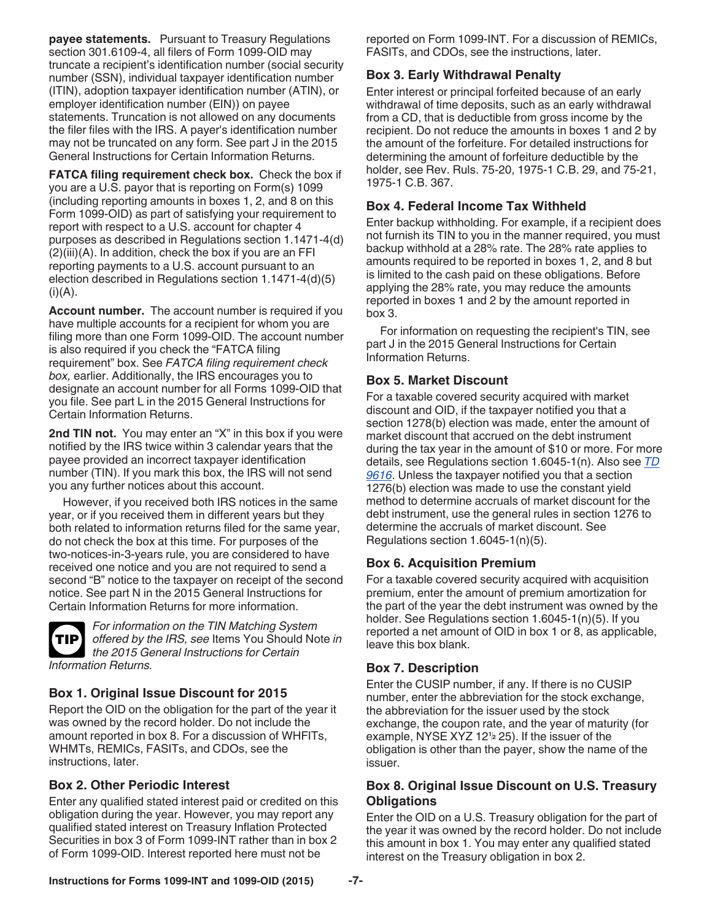**payee statements.** Pursuant to Treasury Regulations section 301.6109-4, all filers of Form 1099-OID may truncate a recipient's identification number (social security number (SSN), individual taxpayer identification number (ITIN), adoption taxpayer identification number (ATIN), or employer identification number (EIN)) on payee statements. Truncation is not allowed on any documents the filer files with the IRS. A payer's identification number may not be truncated on any form. See part J in the 2015 General Instructions for Certain Information Returns.

**FATCA filing requirement check box.** Check the box if you are a U.S. payor that is reporting on Form(s) 1099 (including reporting amounts in boxes 1, 2, and 8 on this Form 1099-OID) as part of satisfying your requirement to report with respect to a U.S. account for chapter 4 purposes as described in Regulations section 1.1471-4(d) (2)(iii)(A). In addition, check the box if you are an FFI reporting payments to a U.S. account pursuant to an election described in Regulations section 1.1471-4(d)(5)  $(i)(A)$ .

**Account number.** The account number is required if you have multiple accounts for a recipient for whom you are filing more than one Form 1099-OID. The account number is also required if you check the "FATCA filing requirement" box. See *FATCA filing requirement check box,* earlier. Additionally, the IRS encourages you to designate an account number for all Forms 1099-OID that you file. See part L in the 2015 General Instructions for Certain Information Returns.

**2nd TIN not.** You may enter an "X" in this box if you were notified by the IRS twice within 3 calendar years that the payee provided an incorrect taxpayer identification number (TIN). If you mark this box, the IRS will not send you any further notices about this account.

However, if you received both IRS notices in the same year, or if you received them in different years but they both related to information returns filed for the same year, do not check the box at this time. For purposes of the two-notices-in-3-years rule, you are considered to have received one notice and you are not required to send a second "B" notice to the taxpayer on receipt of the second notice. See part N in the 2015 General Instructions for Certain Information Returns for more information.



*For information on the TIN Matching System offered by the IRS, see* Items You Should Note *in the 2015 General Instructions for Certain Information Returns.*

### **Box 1. Original Issue Discount for 2015**

Report the OID on the obligation for the part of the year it was owned by the record holder. Do not include the amount reported in box 8. For a discussion of WHFITs, WHMTs, REMICs, FASITs, and CDOs, see the instructions, later.

### **Box 2. Other Periodic Interest**

Enter any qualified stated interest paid or credited on this obligation during the year. However, you may report any qualified stated interest on Treasury Inflation Protected Securities in box 3 of Form 1099-INT rather than in box 2 of Form 1099-OID. Interest reported here must not be

reported on Form 1099-INT. For a discussion of REMICs, FASITs, and CDOs, see the instructions, later.

### **Box 3. Early Withdrawal Penalty**

Enter interest or principal forfeited because of an early withdrawal of time deposits, such as an early withdrawal from a CD, that is deductible from gross income by the recipient. Do not reduce the amounts in boxes 1 and 2 by the amount of the forfeiture. For detailed instructions for determining the amount of forfeiture deductible by the holder, see Rev. Ruls. 75-20, 1975-1 C.B. 29, and 75-21, 1975-1 C.B. 367.

#### **Box 4. Federal Income Tax Withheld**

Enter backup withholding. For example, if a recipient does not furnish its TIN to you in the manner required, you must backup withhold at a 28% rate. The 28% rate applies to amounts required to be reported in boxes 1, 2, and 8 but is limited to the cash paid on these obligations. Before applying the 28% rate, you may reduce the amounts reported in boxes 1 and 2 by the amount reported in box 3.

For information on requesting the recipient's TIN, see part J in the 2015 General Instructions for Certain Information Returns.

### **Box 5. Market Discount**

For a taxable covered security acquired with market discount and OID, if the taxpayer notified you that a section 1278(b) election was made, enter the amount of market discount that accrued on the debt instrument during the tax year in the amount of \$10 or more. For more details, see Regulations section 1.6045-1(n). Also see *[TD](http://www.irs.gov/irb/2013-20_IRB/ar07.html) [9616](http://www.irs.gov/irb/2013-20_IRB/ar07.html)*. Unless the taxpayer notified you that a section 1276(b) election was made to use the constant yield method to determine accruals of market discount for the debt instrument, use the general rules in section 1276 to determine the accruals of market discount. See Regulations section 1.6045-1(n)(5).

### **Box 6. Acquisition Premium**

For a taxable covered security acquired with acquisition premium, enter the amount of premium amortization for the part of the year the debt instrument was owned by the holder. See Regulations section 1.6045-1(n)(5). If you reported a net amount of OID in box 1 or 8, as applicable, leave this box blank.

### **Box 7. Description**

Enter the CUSIP number, if any. If there is no CUSIP number, enter the abbreviation for the stock exchange, the abbreviation for the issuer used by the stock exchange, the coupon rate, and the year of maturity (for example, NYSE XYZ 12**<sup>1</sup> <sup>2</sup>** 25). If the issuer of the obligation is other than the payer, show the name of the issuer.

#### **Box 8. Original Issue Discount on U.S. Treasury Obligations**

Enter the OID on a U.S. Treasury obligation for the part of the year it was owned by the record holder. Do not include this amount in box 1. You may enter any qualified stated interest on the Treasury obligation in box 2.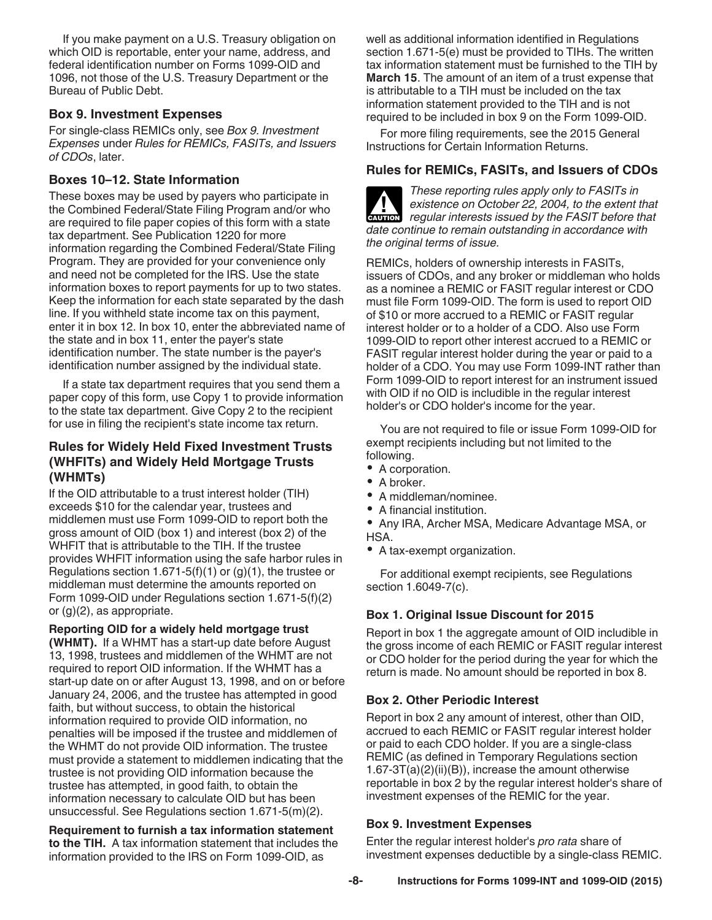If you make payment on a U.S. Treasury obligation on which OID is reportable, enter your name, address, and federal identification number on Forms 1099-OID and 1096, not those of the U.S. Treasury Department or the Bureau of Public Debt.

#### **Box 9. Investment Expenses**

For single-class REMICs only, see *Box 9. Investment Expenses* under *Rules for REMICs, FASITs, and Issuers of CDOs*, later.

#### **Boxes 10–12. State Information**

These boxes may be used by payers who participate in the Combined Federal/State Filing Program and/or who are required to file paper copies of this form with a state tax department. See Publication 1220 for more information regarding the Combined Federal/State Filing Program. They are provided for your convenience only and need not be completed for the IRS. Use the state information boxes to report payments for up to two states. Keep the information for each state separated by the dash line. If you withheld state income tax on this payment, enter it in box 12. In box 10, enter the abbreviated name of the state and in box 11, enter the payer's state identification number. The state number is the payer's identification number assigned by the individual state.

If a state tax department requires that you send them a paper copy of this form, use Copy 1 to provide information to the state tax department. Give Copy 2 to the recipient for use in filing the recipient's state income tax return.

#### **Rules for Widely Held Fixed Investment Trusts (WHFITs) and Widely Held Mortgage Trusts (WHMTs)**

If the OID attributable to a trust interest holder (TIH) exceeds \$10 for the calendar year, trustees and middlemen must use Form 1099-OID to report both the gross amount of OID (box 1) and interest (box 2) of the WHFIT that is attributable to the TIH. If the trustee provides WHFIT information using the safe harbor rules in Regulations section 1.671-5(f)(1) or  $(g)(1)$ , the trustee or middleman must determine the amounts reported on Form 1099-OID under Regulations section 1.671-5(f)(2) or (g)(2), as appropriate.

**Reporting OID for a widely held mortgage trust (WHMT).** If a WHMT has a start-up date before August 13, 1998, trustees and middlemen of the WHMT are not required to report OID information. If the WHMT has a start-up date on or after August 13, 1998, and on or before January 24, 2006, and the trustee has attempted in good faith, but without success, to obtain the historical information required to provide OID information, no penalties will be imposed if the trustee and middlemen of the WHMT do not provide OID information. The trustee must provide a statement to middlemen indicating that the trustee is not providing OID information because the trustee has attempted, in good faith, to obtain the information necessary to calculate OID but has been unsuccessful. See Regulations section 1.671-5(m)(2).

**Requirement to furnish a tax information statement to the TIH.** A tax information statement that includes the information provided to the IRS on Form 1099-OID, as

well as additional information identified in Regulations section 1.671-5(e) must be provided to TIHs. The written tax information statement must be furnished to the TIH by **March 15**. The amount of an item of a trust expense that is attributable to a TIH must be included on the tax information statement provided to the TIH and is not required to be included in box 9 on the Form 1099-OID.

For more filing requirements, see the 2015 General Instructions for Certain Information Returns.

#### **Rules for REMICs, FASITs, and Issuers of CDOs**

*These reporting rules apply only to FASITs in existence on October 22, 2004, to the extent that*  **Propendical Existence on October 22, 2004, to the extent that regular interests issued by the FASIT before that** *date continue to remain outstanding in accordance with the original terms of issue.*

REMICs, holders of ownership interests in FASITs, issuers of CDOs, and any broker or middleman who holds as a nominee a REMIC or FASIT regular interest or CDO must file Form 1099-OID. The form is used to report OID of \$10 or more accrued to a REMIC or FASIT regular interest holder or to a holder of a CDO. Also use Form 1099-OID to report other interest accrued to a REMIC or FASIT regular interest holder during the year or paid to a holder of a CDO. You may use Form 1099-INT rather than Form 1099-OID to report interest for an instrument issued with OID if no OID is includible in the regular interest holder's or CDO holder's income for the year.

You are not required to file or issue Form 1099-OID for exempt recipients including but not limited to the following.

- A corporation.
- A broker.
- A middleman/nominee.
- A financial institution.
- Any IRA, Archer MSA, Medicare Advantage MSA, or HSA.
- A tax-exempt organization.

For additional exempt recipients, see Regulations section 1.6049-7(c).

#### **Box 1. Original Issue Discount for 2015**

Report in box 1 the aggregate amount of OID includible in the gross income of each REMIC or FASIT regular interest or CDO holder for the period during the year for which the return is made. No amount should be reported in box 8.

#### **Box 2. Other Periodic Interest**

Report in box 2 any amount of interest, other than OID, accrued to each REMIC or FASIT regular interest holder or paid to each CDO holder. If you are a single-class REMIC (as defined in Temporary Regulations section 1.67-3T(a)(2)(ii)(B)), increase the amount otherwise reportable in box 2 by the regular interest holder's share of investment expenses of the REMIC for the year.

#### **Box 9. Investment Expenses**

Enter the regular interest holder's *pro rata* share of investment expenses deductible by a single-class REMIC.